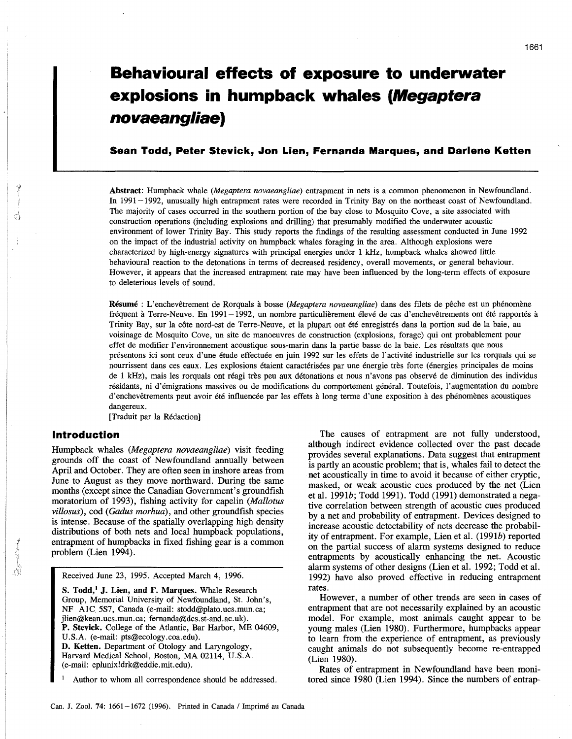# **Behavioural effects of exposure to underwater explosions in humpback whales (Megaptera novaeangliae)**

# **Sean Todd, Peter Stevick, Jon Lien, Fernanda Marques, and Darlene Ketten**

Abstract: Humpback whale *(Megaptera novaeangliae)* entrapment in nets is a common phenomenon in Newfoundland. In 1991-1992, unusually high entrapment rates were recorded in Trinity Bay on the northeast coast of Newfoundland. The majority of cases occurred in the southern portion of the bay close to Mosquito Cove, a site associated with construction operations (including explosions and drilling) that presumably modified the underwater acoustic environment of lower Trinity Bay. This study reports the findings of the resulting assessment conducted in June 1992 on the impact of the industrial activity on humpback whales foraging in the area. Although explosions were characterized by high-energy signatures with principal energies under 1 kHz, humpback whales showed little behavioural reaction to the detonations in terms of decreased residency, overall movements, or general behaviour. However, it appears that the increased entrapment rate may have been influenced by the long-term effects of exposure to deleterious levels of sound.

Résumé : L'enchevêtrement de Rorquals à bosse *(Megaptera novaeangliae)* dans des filets de pêche est un phénomène fréquent à Terre-Neuve. En 1991-1992, un nombre particulièrement élevé de cas d'enchevêtrements ont été rapportés à Trinity Bay, sur la cote nord-est de Terre-Neuve, et la plupart ont ete enregistres dans la portion sud de la baie, au voisinage de Mosquito Cove, un site de manoeuvres de construction (explosions, forage) qui ont probablement pour effet de modifier l'environnement acoustique sous-marin dans la partie basse de la baie. Les resultats que nous presentons ici sont ceux d'une etude effectuee en juin 1992 sur les effets de l'activite industrielle sur les rorquals qui se nourrissent dans ces eaux. Les explosions étaient caractérisées par une énergie très forte (énergies principales de moins de 1 kHz), mais les rorquals ont réagi très peu aux détonations et nous n'avons pas observé de diminution des individus résidants, ni d'émigrations massives ou de modifications du comportement général. Toutefois, l'augmentation du nombre d'enchevêtrements peut avoir été influencée par les effets à long terme d'une exposition à des phénomènes acoustiques dangereux.

[Traduit par la Redaction]

## **Introduction**

Humpback whales *(Megaptera novaeangliae)* visit feeding grounds off the coast of Newfoundland annually between April and October. They are often seen in inshore areas from June to August as they move northward. During the same months (except since the Canadian Government's groundfish moratorium of 1993), fishing activity for capelin *(Mallotus villosus),* cod *(Gadus morhua),* and other groundfish species is intense. Because of the spatially overlapping high density distributions of both nets and local humpback populations, entrapment of humpbacks in fixed fishing gear is a common problem (Lien 1994).

Received June 23, 1995. Accepted March 4, 1996.

S. Todd,<sup>1</sup> J. Lien, and F. Marques. Whale Research Group, Memorial University of Newfoundland, St. John's, NF AIC 5S7, Canada (e-mail: stodd@plato.ucs.mun.ca; jlien@kean.ucs.mun.ca; fernanda@dcs.st-and.ac.uk). P. Stevick. College of the Atlantic, Bar Harbor, ME 04609, U.S.A. (e-mail: pts@ecology.coa.edu). D. Ketten. Department of Otology and Laryngology, Harvard Medical School, Boston, MA 02114, U.S.A. (e-mail: eplunix!drk@eddie.mit.edu).

Author to whom all correspondence should be addressed.

The causes of entrapment are not fully understood, although indirect evidence collected over the past decade provides several explanations. Data suggest that entrapment is partly an acoustic problem; that is, whales fail to detect the net acoustically in time to avoid it because of either cryptic, masked, or weak acoustic cues produced by the net (Lien et al. 1991b; Todd 1991). Todd (1991) demonstrated a negative correlation between strength of acoustic cues produced by a net and probability of entrapment. Devices designed to increase acoustic detectability of nets decrease the probability of entrapment. For example, Lien et al. (1991b) reported on the partial success of alarm systems designed to reduce entrapments by acoustically enhancing the net. Acoustic alarm systems of other designs (Lien et al. 1992; Todd et al. 1992) have also proved effective in reducing entrapment rates.

However, a number of other trends are seen in cases of entrapment that are not necessarily explained by an acoustic model. For example, most animals caught appear to be young males (Lien 1980). Furthermore, humpbacks appear to learn from the experience of entrapment, as previously caught animals do not subsequently become re-entrapped (Lien 1980).

Rates of entrapment in Newfoundland have been monitored since 1980 (Lien 1994). Since the numbers of entrap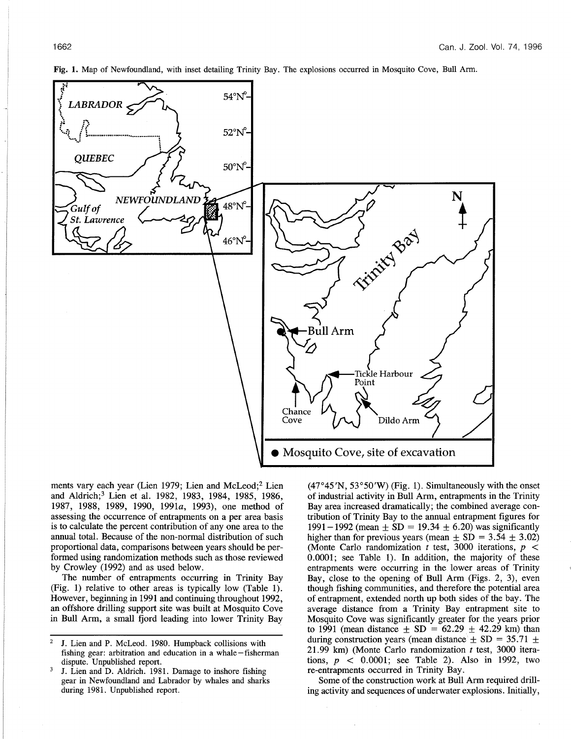Fig. 1. Map of Newfoundland, with inset detailing Trinity Bay. The explosions occurred in Mosquito Cove, Bull Arm.



ments vary each year (Lien 1979; Lien and McLeod;2 Lien and Aldrich;3 Lien et al. 1982, 1983, 1984, 1985, 1986, 1987, 1988, 1989, 1990, 1991a, 1993), one method of assessing the occurrence of entrapments on a per area basis is to calculate the percent contribution of anyone area to the annual total. Because of the non-normal distribution of such proportional data, comparisons between years should be performed using randomization methods such as those reviewed by Crowley (1992) and as used below.

The number of entrapments occurring in Trinity Bay (Fig. 1) relative to other areas is typically low (Table 1). However, beginning in 1991 and continuing throughout 1992, an offshore drilling support site was built at Mosquito Cove in Bull Arm, a small fjord leading into lower Trinity Bay  $(47°45'N, 53°50'W)$  (Fig. 1). Simultaneously with the onset of industrial activity in Bull Arm, entrapments in the Trinity Bay area increased dramatically; the combined average contribution of Trinity Bay to the annual entrapment figures for 1991-1992 (mean  $\pm$  SD = 19.34  $\pm$  6.20) was significantly higher than for previous years (mean  $\pm$  SD = 3.54  $\pm$  3.02) (Monte Carlo randomization t test, 3000 iterations,  $p <$ 0.0001; see Table 1). In addition, the majority of these entrapments were occurring in the lower areas of Trinity Bay, close to the opening of Bull Arm (Figs. 2, 3), even though fishing communities, and therefore the potential area of entrapment, extended north up both sides of the bay. The average distance from a Trinity Bay entrapment site to Mosquito Cove was significantly greater for the years prior to 1991 (mean distance  $\pm$  SD = 62.29  $\pm$  42.29 km) than during construction years (mean distance  $\pm$  SD = 35.71  $\pm$ 21.99 km) (Monte Carlo randomization  $t$  test, 3000 iterations,  $p \leq 0.0001$ ; see Table 2). Also in 1992, two re-entrapments occurred in Trinity Bay.

Some of the construction work at Bull Arm required drilling activity and sequences of underwater explosions. Initially,

<sup>2</sup> J. Lien and P. McLeod. 1980. Humpback collisions with fishing gear: arbitration and education in a whale-fisherman dispute. Unpublished report.

 $3$  J. Lien and D. Aldrich. 1981. Damage to inshore fishing gear in Newfoundland and Labrador by whales and sharks during 1981. Unpublished report.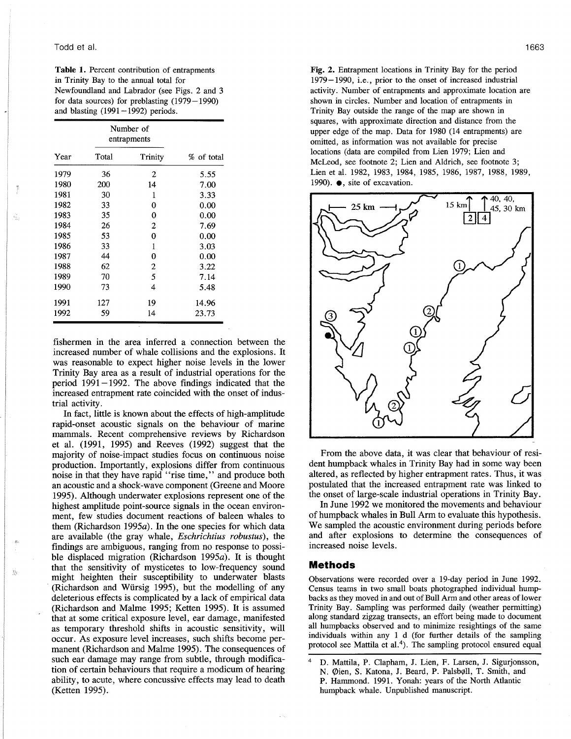## Todd et al.

**Table 1.** Percent contribution of entrapments in Trinity Bay to the annual total for Newfoundland and Labrador (see Figs. 2 and 3 for data sources) for preblasting  $(1979-1990)$ and blasting  $(1991-1992)$  periods.

|      | Number of<br>entrapments |                |            |  |
|------|--------------------------|----------------|------------|--|
| Year | Total                    | Trinity        | % of total |  |
| 1979 | 36                       | 2              | 5.55       |  |
| 1980 | 200                      | 14             | 7.00       |  |
| 1981 | 30                       | 1              | 3.33       |  |
| 1982 | 33                       | 0              | 0.00       |  |
| 1983 | 35                       | 0              | 0.00       |  |
| 1984 | 26                       | 2              | 7.69       |  |
| 1985 | 53                       | 0              | 0.00       |  |
| 1986 | 33                       | 1              | 3.03       |  |
| 1987 | 44                       | 0              | 0.00       |  |
| 1988 | 62                       | $\overline{2}$ | 3.22       |  |
| 1989 | 70                       | 5              | 7.14       |  |
| 1990 | 73                       | 4              | 5.48       |  |
| 1991 | 127                      | 19             | 14.96      |  |
| 1992 | 59                       | 14             | 23.73      |  |

fishermen in the area inferred a connection between the increased number of whale collisions and the explosions. It was reasonable to expect higher noise levels in the lower Trinity Bay area as a result of industrial operations for the period  $1991 - 1992$ . The above findings indicated that the increased entrapment rate coincided with the onset of industrial activity.

**In** fact, little is known about the effects of high-amplitude rapid-onset acoustic signals on the behaviour of marine mammals. Recent comprehensive reviews by Richardson et al. (1991, 1995) and Reeves (1992) suggest that the majority of noise-impact studies focus on continuous noise production. Importantly, explosions differ from continuous noise in that they have rapid "rise time," and produce both an acoustic and a shock-wave component (Greene and Moore 1995). Although underwater explosions represent one of the highest amplitude point-source signals in the ocean environment, few studies document reactions of baleen whales to them (Richardson 1995a). **In** the one species for which data are available (the gray whale, *Eschrichtius robustus)*, the findings are ambiguous, ranging from no response to possible displaced migration (Richardson 1995a). It is thought that the sensitivity of mysticetes to low-frequency sound might heighten their susceptibility to underwater blasts (Richardson and Wiirsig 1995), but the modelling of any deleterious effects is complicated by a lack of empirical data (Richardson and Malme 1995; Ketten 1995). It is assumed that at some critical exposure level, ear damage, manifested as temporary threshold shifts in acoustic sensitivity, will occur. As exposure level increases, such shifts become permanent (Richardson and Malme 1995). The consequences of such ear damage may range from subtle, through modification of certain behaviours that require a modicum of hearing ability, to acute, where concussive effects may lead to death (Ketten 1995).

Ą.

**Fig. 2.** Entrapment locations in Trinity Bay for the period 1979-1990, Le., prior to the onset of increased industrial activity. Number of entrapments and approximate location are shown in circles. Number and location of entrapments in Trinity Bay outside the range of the map are shown in squares, with approximate direction and distance from the upper edge of the map. Data for 1980 (14 entrapments) are omitted, as information was not available for precise locations (data are compiled from Lien 1979; Lien and McLeod, see footnote 2; Lien and Aldrich, see footnote 3; Lien et al. 1982, 1983, 1984, 1985, 1986, 1987, 1988, 1989, 1990). **e,** site of excavation.



From the above data, it was clear that behaviour of resident humpback whales in Trinity Bay had in some way been altered, as reflected by higher entrapment rates. Thus, it was postulated that the increased entrapment rate was linked to the onset of large-scale industrial operations in Trinity Bay.

**In** June 1992 we monitored the movements and behaviour of humpback whales in Bull Arm to evaluate this hypothesis. We sampled the acoustic environment during periods before and after explosions to determine the consequences of increased noise levels.

## **Methods**

Observations were recorded over a 19-day period in June 1992. Census teams in two small boats photographed individual humpbacks as they moved in and out of Bull Arm and other areas of lower Trinity Bay. Sampling was performed daily (weather permitting) along standard zigzag transects, an effort being made to document all humpbacks observed and to minimize resightings of the same individuals within any 1 d (for further details of the sampling protocol see Mattila et al.<sup>4</sup>). The sampling protocol ensured equal

<sup>4</sup> D. Mattila, P. Clapham, J. Lien, F. Larsen, J. Sigurjonsson, N. Øien, S. Katona, J. Beard, P. Palsbøll, T. Smith, and P. Hammond. 1991. Yonah: years of the North Atlantic humpback whale. Unpublished manuscript.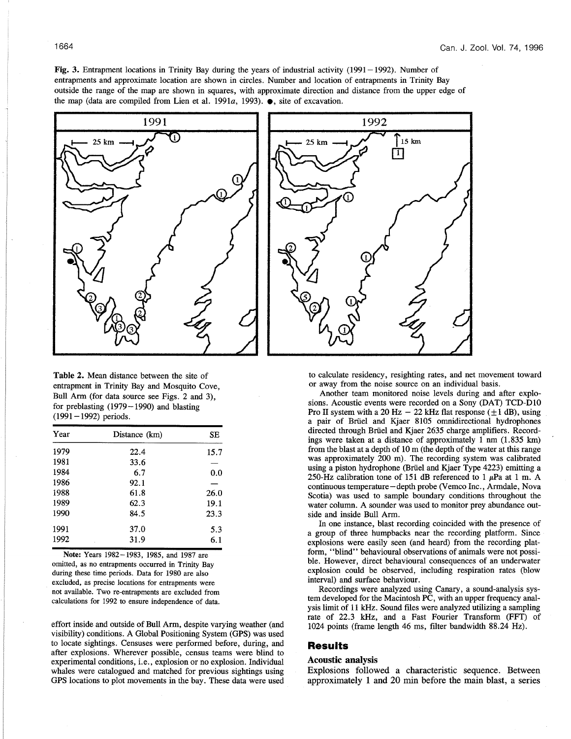Fig. 3. Entrapment locations in Trinity Bay during the years of industrial activity (1991-1992). Number of entrapments and approximate location are shown in circles. Number and location of entrapments in Trinity Bay outside the range of the map are shown in squares, with approximate direction and distance from the upper edge of the map (data are compiled from Lien et al. 1991a, 1993). **• ,** site of excavation.



Table 2. Mean distance between the site of entrapment in Trinity Bay and Mosquito Cove, Bull Arm (for data source see Figs. 2 and 3), for preblasting (1979-1990) and blasting  $(1991-1992)$  periods.

| Year | Distance (km) | SE   |  |
|------|---------------|------|--|
| 1979 | 22.4          | 15.7 |  |
| 1981 | 33.6          |      |  |
| 1984 | 6.7           | 0.0  |  |
| 1986 | 92.1          |      |  |
| 1988 | 61.8          | 26.0 |  |
| 1989 | 62.3          | 19.1 |  |
| 1990 | 84.5          | 23.3 |  |
| 1991 | 37.0          | 5.3  |  |
| 1992 | 31.9          | 6.1  |  |

Note: Years 1982-1983, 1985, and 1987 are omitted, as no entrapments occurred in Trinity Bay during these time periods. Data for 1980 are also excluded, as precise locations for entrapments were not available. Two re-entrapments are excluded from calculations for 1992 to ensure independence of data.

effort inside and outside of Bull Arm, despite varying weather (and visibility) conditions. A Global Positioning System (GPS) was used to locate sightings. Censuses were performed before, during, and after explosions. Wherever possible, census teams were blind to experimental conditions, i.e., explosion or no explosion. Individual whales were catalogued and matched for previous sightings using GPS locations to plot movements in the bay. These data were used



to calculate residency, resighting rates, and net movement toward or away from the noise source on an individual basis.

Another team monitored noise levels during and after explosions. Acoustic events were recorded on a Sony (DAT) TCD-DIO Pro II system with a 20 Hz  $-$  22 kHz flat response ( $\pm$ 1 dB), using a pair of Brüel and Kjaer 8105 omnidirectional hydrophones directed through Brüel and Kjaer 2635 charge amplifiers. Recordings were taken at a distance of approximately 1 nm (1.835 km) from the blast at a depth of  $10 \text{ m}$  (the depth of the water at this range was approximately 200 m). The recording system was calibrated using a piston hydrophone (Brüel and Kjaer Type 4223) emitting a 250-Hz calibration tone of 151 dB referenced to 1  $\mu$ Pa at 1 m. A continuous temperature - depth probe *(\I*emco Inc., Armdale, Nova Scotia) was used to sample boundary conditions throughout the water column. A sounder was used to monitor prey abundance outside and inside Bull Arm.

In one instance, blast recording coincided with the presence of a group of three humpbacks near the recording platform. Since explosions were easily seen (and heard) from the recording platform, "blind" behavioural observations of animals were not possible. However, direct behavioural consequences of an underwater explosion could be observed, including respiration rates (blow interval) and surface behaviour.

Recordings were analyzed using Canary, a sound-analysis system developed for the Macintosh PC, with an upper frequency analysis limit of 11 kHz. Sound fIles were analyzed utilizing a sampling rate of 22.3 kHz, and a Fast Fourier Transform (FFT) of 1024 points (frame length 46 ms, fIlter bandwidth 88.24 Hz).

# **Results**

#### Acoustic analysis

Explosions followed a characteristic sequence. Between approximately 1 and 20 min before the main blast, a series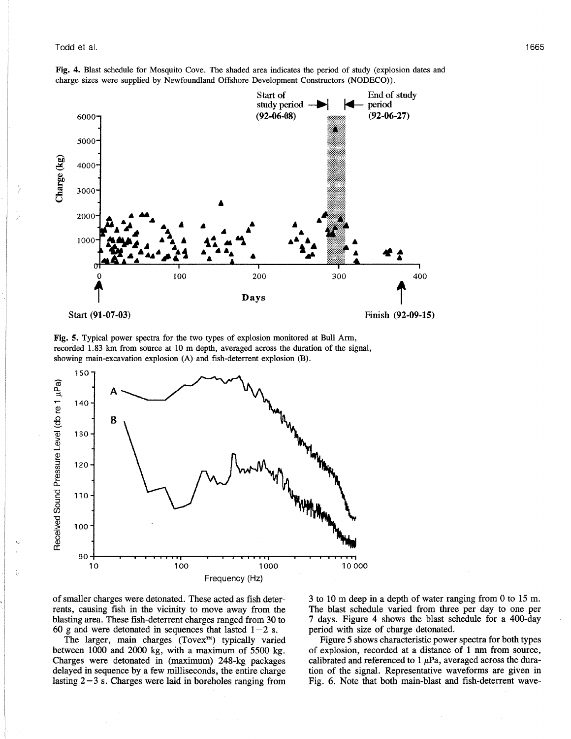**Fig. 4.** Blast schedule for Mosquito Cove. The shaded area indicates the period of study (explosion dates and charge sizes were supplied by Newfoundland Offshore Development Constructors (NODECO».



Start **(91-07-03)** Finish **(92-09-15)**

**Fig. 5.** Typical power spectra for the two types of explosion monitored at Bull Arm, recorded 1.83 km from source at 10 m depth, averaged across the duration of the signal, showing main-excavation explosion (A) and fish-deterrent explosion (B).



of smaller charges were detonated. These acted as fish deterrents, causing fish in the vicinity to move away from the blasting area. These fish-deterrent charges ranged from 30 to 60 g and were detonated in sequences that lasted  $1-2$  s.

The larger, main charges (Tovex™) typically varied between 1000 and 2000 kg, with a maximum of 5500 kg. Charges were detonated in (maximum) 248-kg packages delayed in sequence by a few milliseconds, the entire charge lasting  $2-3$  s. Charges were laid in boreholes ranging from 3 to 10 m deep in a depth of water ranging from 0 to 15 m. The blast schedule varied from three per day to one per 7 days. Figure 4 shows the blast schedule for a 400-day period with size of charge detonated.

Figure 5 shows characteristic power spectra for both types of explosion, recorded at a distance of 1 nm from source, calibrated and referenced to  $1 \mu Pa$ , averaged across the duration of the signal. Representative waveforms are given in Fig. 6. Note that both main-blast and fish-deterrent wave-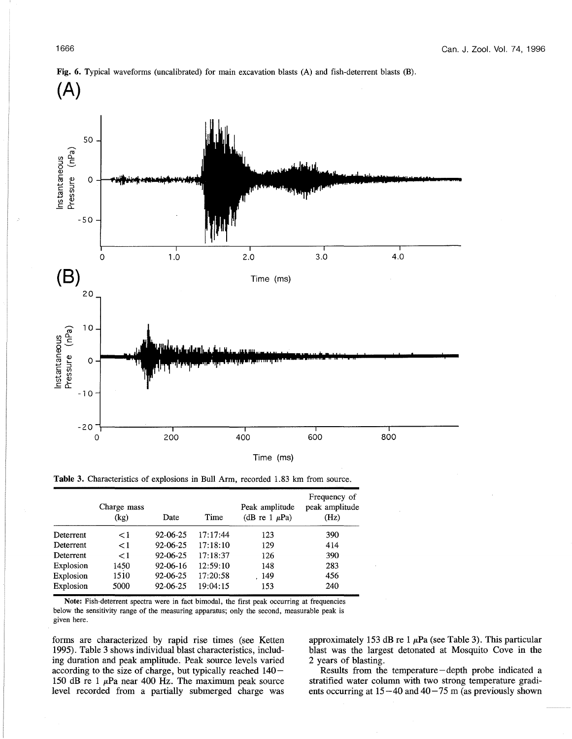

**Fig. 6.** Typical waveforms (uncalibrated) for main excavation blasts (A) and fish-deterrent blasts (B).

Time (ms)

Table 3. Characteristics of explosions in Bull Arm, recorded 1.83 km from source.

|           | Charge mass<br>(kg) | Date     | Time     | Peak amplitude<br>(dB re 1 $\mu$ Pa) | Frequency of<br>peak amplitude<br>(Hz) |
|-----------|---------------------|----------|----------|--------------------------------------|----------------------------------------|
| Deterrent | $\leq$ 1            | 92-06-25 | 17:17:44 | 123                                  | 390                                    |
| Deterrent | < 1                 | 92-06-25 | 17:18:10 | 129                                  | 414                                    |
| Deterrent | $\leq$ 1            | 92-06-25 | 17:18:37 | 126                                  | 390                                    |
| Explosion | 1450                | 92-06-16 | 12:59:10 | 148                                  | 283                                    |
| Explosion | 1510                | 92-06-25 | 17:20:58 | . 149                                | 456                                    |
| Explosion | 5000                | 92-06-25 | 19:04:15 | 153                                  | 240                                    |

Note: Fish-deterrent spectra were in fact bimodal, the first peak occurring at frequencies below the sensitivity range of the measuring apparatus; only the second, measurable peak is given here.

forms are characterized by rapid rise times (see Ketten 1995). Table 3 shows individual blast characteristics, including duration and peak amplitude. Peak source levels varied according to the size of charge, but typically reached 140- 150 dB re 1  $\mu$ Pa near 400 Hz. The maximum peak source level recorded from a partially submerged charge was

approximately 153 dB re 1  $\mu$ Pa (see Table 3). This particular blast was the largest detonated at Mosquito Cove in the 2 years of blasting.

Results from the temperature-depth probe indicated a stratified water column with two strong temperature gradients occurring at  $15 - 40$  and  $40 - 75$  m (as previously shown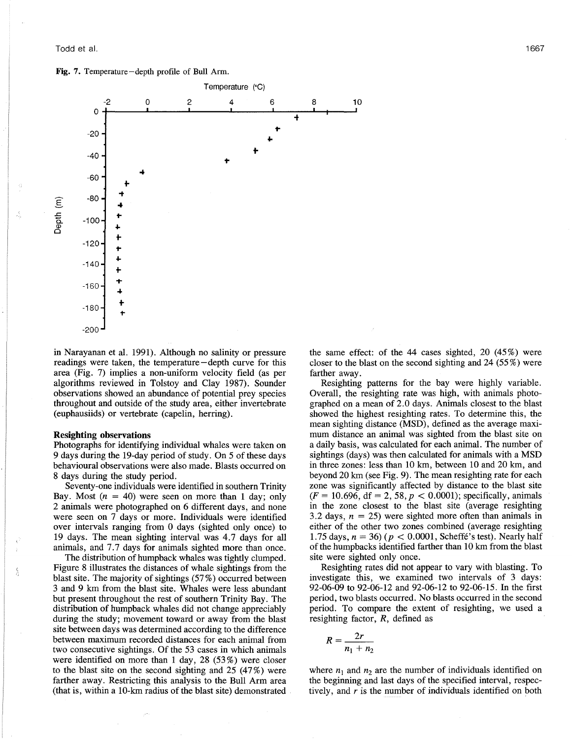Fig. 7. Temperature-depth profile of Bull Arm.



in Narayanan et al. 1991). Although no salinity or pressure readings were taken, the temperature-depth curve for this area (Fig. 7) implies a non-uniform velocity field (as per algorithms reviewed in Tolstoy and Clay 1987). Sounder observations showed an abundance of potential prey species throughout and outside of the study area, either invertebrate (euphausiids) or vertebrate (capelin, herring).

#### Resighting observations

Photographs for identifying individual whales were taken on 9 days during the 19-day period of study. On 5 of these days behavioural observations were also made. Blasts occurred on 8 days during the study period.

Seventy-one individuals were identified in southern Trinity Bay. Most  $(n = 40)$  were seen on more than 1 day; only 2 animals were photographed on 6 different days, and none were seen on 7 days or more. Individuals were identified over intervals ranging from 0 days (sighted only once) to 19 days. The mean sighting interval was 4.7 days for all animals, and 7.7 days for animals sighted more than once.

The distribution of humpback whales was tightly clumped. Figure 8 illustrates the distances of whale sightings from the blast site. The majority of sightings  $(57%)$  occurred between 3 and 9 km from the blast site. Whales were less abundant but present throughout the rest of southern Trinity Bay. The distribution of humpback whales did not change appreciably during the study; movement toward or away from the blast site between days was determined according to the difference between maximum recorded distances for each animal from two consecutive sightings. Of the 53 cases in which animals were identified on more than 1 day, 28 (53 %) were closer to the blast site on the second sighting and 25 (47%) were farther away. Restricting this analysis to the Bull Arm area (that is, within a 10-km radius of the blast site) demonstrated the same effect: of the 44 cases sighted, 20 (45%) were closer to the blast on the second sighting and 24 (55 %) were farther away.

Resighting patterns for the bay were highly variable. Overall, the resighting rate was high, with animals photographed on a mean of 2.0 days. Animals closest to the blast showed the highest resighting rates. To determine this, the mean sighting distance (MSD), defined as the average maximum distance an animal was sighted from the blast site on a daily basis, was calculated for each animal. The number of sightings (days) was then calculated for animals with a MSD in three zones: less than 10 km, between 10 and 20 km, and beyond 20 km (see Fig. 9). The mean resighting rate for each zone was significantly affected by distance to the blast site  $(F = 10.696, df = 2, 58, p < 0.0001)$ ; specifically, animals in the zone closest to the blast site (average resighting 3.2 days,  $n = 25$ ) were sighted more often than animals in either of the other two zones combined (average resighting 1.75 days,  $n = 36$ ) ( $p < 0.0001$ , Scheffé's test). Nearly half of the humpbacks identified farther than 10 km from the blast site were sighted only once.

Resighting rates did not appear to vary with blasting. To investigate this, we examined two intervals of 3 days: 92-06-09 to 92-06-12 and 92-06-12 to 92-06-15. In the first period, two blasts occurred. No blasts occurred in the second period. To compare the extent of resighting, we used a resighting factor, *R,* defined as

$$
R=\frac{2r}{n_1+n_2}
$$

where  $n_1$  and  $n_2$  are the number of individuals identified on the beginning and last days of the specified interval, respectively, and *r* is the number of individuals identified on both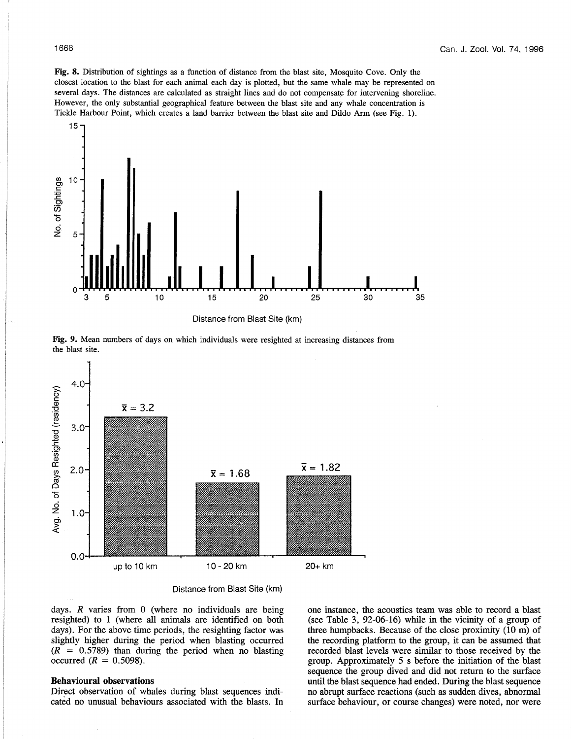Fig. 8. Distribution of sightings as a function of distance from the blast site, Mosquito Cove. Only the closest location to the blast for each animal each day is plotted, but the same whale may be represented on several days. The distances are calculated as straight lines and do not compensate for intervening shoreline. However, the only substantial geographical feature between the blast site and any whale concentration is Tickle Harbour Point, which creates a land barrier between the blast site and Dildo Arm (see Fig. 1).



Distance from Blast Site (km)

Fig. 9. Mean numbers of days on which individuals were resighted at increasing distances from the blast site.



Distance from Blast Site (km)

days. *R* varies from 0 (where no individuals are being resighted) to 1 (where all animals are identified on both days). For the above time periods, the resighting factor was slightly higher during the period when blasting occurred  $(R = 0.5789)$  than during the period when no blasting occurred  $(R = 0.5098)$ .

## **Behavioural** observations

Direct observation of whales during blast sequences indicated no unusual behaviours associated with the blasts. In one instance, the acoustics team was able to record a blast (see Table 3, 92-06-16) while in the vicinity of a group of three humpbacks. Because of the close proximity (10 m) of the recording platform to the group, it can be assumed that recorded blast levels were similar to those received by the group. Approximately 5 s before the initiation of the blast sequence the group dived and did not return to the surface until the blast sequence had ended. During the blast sequence no abrupt surface reactions (such as sudden dives, abnormal surface behaviour, or course changes) were noted, nor were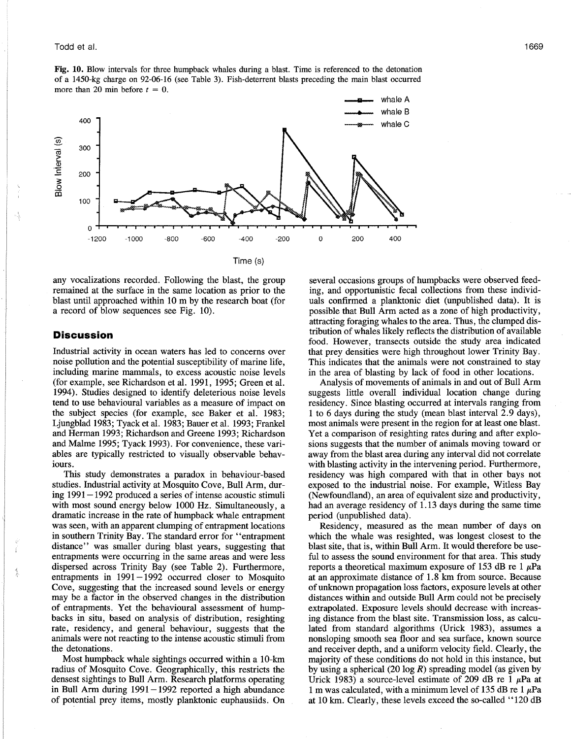#### Todd et al.

Fig. 10. Blow intervals for three humpback whales during a blast. Time is referenced to the detonation of a 1450-kg charge on 92-06-16 (see Table 3). Fish-deterrent blasts preceding the main blast occurred more than 20 min before  $t = 0$ .



Time (8)

any vocalizations recorded. Following the blast, the group remained at the surface in the same location as prior to the blast until approached within 10 m by the research boat (for a record of blow sequences see Fig. 10).

## **Discussion**

Industrial activity in ocean waters has led to concerns over noise pollution and the potential susceptibility of marine life, including marine mammals, to excess acoustic noise levels (for example, see Richardson et al. 1991, 1995; Green et al. 1994). Studies designed to identify deleterious noise levels tend to use behavioural variables as a measure of impact on the subject species (for example, see Baker et al. 1983; Ljungblad 1983; Tyack et al. 1983; Bauer et al. 1993; Frankel and Herman 1993; Richardson and Greene 1993; Richardson and Malme 1995; Tyack 1993). For convenience, these variables are typically restricted to visually observable behaviours.

This study demonstrates a paradox in behaviour-based studies. Industrial activity at Mosquito Cove, Bull Arm, during 1991 - 1992 produced a series of intense acoustic stimuli with most sound energy below 1000 Hz. Simultaneously, a dramatic increase in the rate of humpback whale entrapment was seen, with an apparent clumping of entrapment locations in southern Trinity Bay. The standard error for "entrapment distance" was smaller during blast years, suggesting that entrapments were occurring in the same areas and were less dispersed across Trinity Bay (see Table 2). Furthermore, entrapments in  $1991 - 1992$  occurred closer to Mosquito Cove, suggesting that the increased sound levels or energy may be a factor in the observed changes in the distribution of entrapments. Yet the behavioural assessment of humpbacks in situ, based on analysis of distribution, resighting rate, residency, and general behaviour, suggests that the animals were not reacting to the intense acoustic stimuli from the detonations.

Most humpback whale sightings occurred within a lO-km radius of Mosquito Cove. Geographically, this restricts the densest sightings to Bull Arm. Research platforms operating in Bull Arm during  $1991 - 1992$  reported a high abundance of potential prey items, mostly planktonic euphausiids. On several occasions groups of humpbacks were observed feeding, and opportunistic fecal collections from these individuals confirmed a planktonic diet (unpublished data). It is possible that Bull Arm acted as a zone of high productivity, attracting foraging whales to the area. Thus, the clumped distribution of whales likely reflects the distribution of available food. However, transects outside the study area indicated that prey densities were high throughout lower Trinity Bay. This indicates that the animals were not constrained to stay in the area of blasting by lack of food in other locations.

Analysis of movements of animals in and out of Bull Arm suggests little overall individual location change during residency. Since blasting occurred at intervals ranging from 1 to 6 days during the study (mean blast interval 2.9 days), most animals were present in the region for at least one blast. Yet a comparison of resighting rates during and after explosions suggests that the number of animals moving toward or away from the blast area during any interval did not correlate with blasting activity in the intervening period. Furthermore, residency was high compared with that in other bays not exposed to the industrial noise. For example, Witless Bay (Newfoundland), an area of equivalent size and productivity, had an average residency of 1. 13 days during the same time period (unpublished data).

Residency, measured as the mean number of days on which the whale was resighted, was longest closest to the blast site, that is, within Bull Arm. It would therefore be useful to assess the sound environment for that area. This study reports a theoretical maximum exposure of 153 dB re 1  $\mu$ Pa at an approximate distance of 1.8 km from source. Because of unknown propagation loss factors, exposure levels at other distances within and outside Bull Arm could not be precisely extrapolated. Exposure levels should decrease with increasing distance from the blast site. Transmission loss, as calculated from standard algorithms (Urick 1983), assumes a nonsloping smooth sea floor and sea surface, known source and receiver depth, and a uniform velocity field. Clearly, the majority of these conditions do not hold in this instance, but by using a spherical (20 log  $R$ ) spreading model (as given by Urick 1983) a source-level estimate of 209 dB re 1  $\mu$ Pa at 1 m was calculated, with a minimum level of 135 dB re 1  $\mu$ Pa at 10 km. Clearly, these levels exceed the so-called "120 dB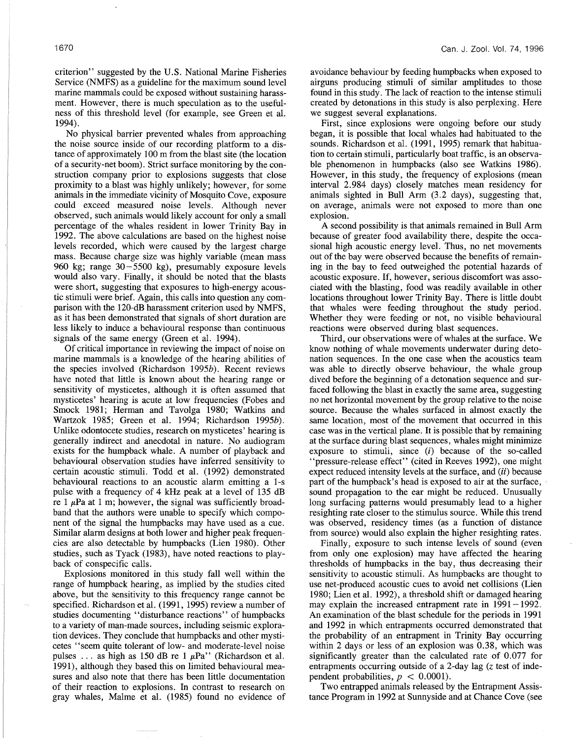criterion" suggested by the U.S. National Marine Fisheries Service (NMFS) as a guideline for the maximum sound level marine mammals could be exposed without sustaining harassment. However, there is much speculation as to the usefulness of this threshold level (for example, see Green et al. 1994).

No physical barrier prevented whales from approaching the noise source inside of our recording platform to a distance of approximately 100 m from the blast site (the location of a security-net boom). Strict surface monitoring by the construction company prior to explosions suggests that close proximity to a blast was highly unlikely; however, for some animals in the immediate vicinity of Mosquito Cove, exposure could exceed measured noise levels. Although never observed, such animals would likely account for only a small percentage of the whales resident in lower Trinity Bay in 1992. The above calculations are based on the highest noise levels recorded, which were caused by the largest charge mass. Because charge size was highly variable (mean mass 960 kg; range 30-5500 kg), presumably exposure levels would also vary. Finally, it should be noted that the blasts were short, suggesting that exposures to high-energy acoustic stimuli were brief. Again, this calls into question any comparison with the 120-dB harassment criterion used by NMFS, as it has been demonstrated that signals of short duration are less likely to induce a behavioural response than continuous signals of the same energy (Green et al. 1994).

Of critical importance in reviewing the impact of noise on marine mammals is a knowledge of the hearing abilities of the species involved (Richardson 1995b). Recent reviews have noted that little is known about the hearing range or sensitivity of mysticetes, although it is often assumed that mysticetes' hearing is acute at low frequencies (Fobes and Smock 1981; Herman and Tavolga 1980; Watkins and Wartzok 1985; Green et al. 1994; Richardson 1995b). Unlike odontocete studies, research on mysticetes' hearing is generally indirect and anecdotal in nature. No audiogram exists for the humpback whale. A number of playback and behavioural observation studies have inferred sensitivity to certain acoustic stimuli. Todd et al. (1992) demonstrated behavioural reactions to an acoustic alarm emitting a I-s pulse with a frequency of 4 kHz peak at a level of 135 dB re 1  $\mu$ Pa at 1 m; however, the signal was sufficiently broadband that the authors were unable to specify which component of the signal the humpbacks may have used as a cue. Similar alarm designs at both lower and higher peak frequencies are also detectable by humpbacks (Lien 1980). Other studies, such as Tyack (1983), have noted reactions to playback of conspecific calls.

Explosions monitored in this study fall well within the range of humpback hearing, as implied by the studies cited above, but the sensitivity to this frequency range cannot be specified. Richardson et al. (1991, 1995) review a number of studies documenting "disturbance reactions" of humpbacks to a variety of man-made sources, including seismic exploration devices. They conclude that humpbacks and other mysticetes "seem quite tolerant of low- and moderate-level noise pulses ... as high as 150 dB re 1  $\mu$ Pa" (Richardson et al. 1991), although they based this on limited behavioural measures and also note that there has been little documentation of their reaction to explosions. In contrast to research on gray whales, Malme et al. (1985) found no evidence of avoidance behaviour by feeding humpbacks when exposed to airguns producing stimuli of similar amplitudes to those found in this study. The lack of reaction to the intense stimuli created by detonations in this study is also perplexing. Here we suggest several explanations.

First, since explosions were ongoing before our study began, it is possible that local whales had habituated to the sounds. Richardson et al. (1991, 1995) remark that habituation to certain stimuli, particularly boat traffic, is an observable phenomenon in humpbacks (also see Watkins 1986). However, in this study, the frequency of explosions (mean interval 2.984 days) closely matches mean residency for animals sighted in Bull Arm (3.2 days), suggesting that, on average, animals were not exposed to more than one explosion.

A second possibility is that animals remained in Bull Arm because of greater food availability there, despite the occasional high acoustic energy level. Thus, no net movements out of the bay were observed because the benefits of remaining in the bay to feed outweighed the potential hazards of acoustic exposure. If, however, serious discomfort was associated with the blasting, food was readily available in other locations throughout lower Trinity Bay. There is little doubt that whales were feeding throughout the study period. Whether they were feeding or not, no visible behavioural reactions were observed during blast sequences.

Third, our observations were of whales at the surface. We know nothing of whale movements underwater during detonation sequences. In the one case when the acoustics team was able to directly observe behaviour, the whale group dived before the beginning of a detonation sequence and surfaced following the blast in exactly the same area, suggesting no net horizontal movement by the group relative to the noise source. Because the whales surfaced in almost exactly the same location, most of the movement that occurred in this case was in the vertical plane. It is possible that by remaining at the surface during blast sequences, whales might minimize exposure to stimuli, since (i) because of the so-called "pressure-release effect" (cited in Reeves 1992), one might expect reduced intensity levels at the surface, and (ii) because part of the humpback's head is exposed to air at the surface, sound propagation to the ear might be reduced. Unusually long surfacing patterns would presumably lead to a higher resighting rate closer to the stimulus source. While this trend was observed, residency times (as a function of distance from source) would also explain the higher resighting rates.

Finally, exposure to such intense levels of sound (even from only one explosion) may have affected the hearing thresholds of humpbacks in the bay, thus decreasing their sensitivity to acoustic stimuli. As humpbacks are thought to use net-produced acoustic cues to avoid net collisions (Lien 1980; Lien et al. 1992), a threshold shift or damaged hearing may explain the increased entrapment rate in  $1991-1992$ . An examination of the blast schedule for the periods in 1991 and 1992 in which entrapments occurred demonstrated that the probability of an entrapment in Trinity Bay occurring within 2 days or less of an explosion was 0.38, which was significantly greater than the calculated rate of 0.077 for entrapments occurring outside of a 2-day lag (z test of independent probabilities,  $p < 0.0001$ ).

Two entrapped animals released by the Entrapment Assistance Program in 1992 at Sunnyside and at Chance Cove (see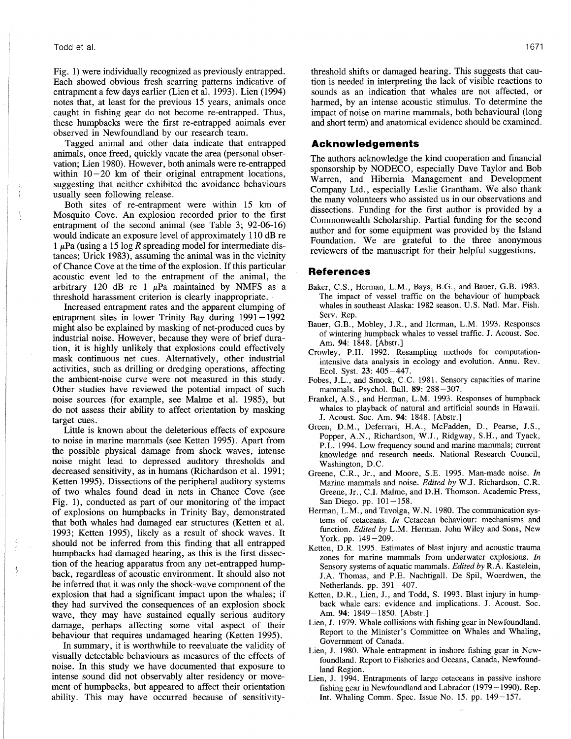## Todd et al.

Fig. 1) were individually recognized as previously entrapped. Each showed obvious fresh scarring patterns indicative of entrapment a few days earlier (Lien et al. 1993). Lien (1994) notes that, at least for the previous 15 years, animals once caught in fishing gear do not become re-entrapped. Thus, these humpbacks were the first re-entrapped animals ever observed in Newfoundland by our research team.

Tagged animal and other data indicate that entrapped animals, once freed, quickly vacate the area (personal observation; Lien 1980). However, both animals were re-entrapped within  $10-20$  km of their original entrapment locations, suggesting that neither exhibited the avoidance behaviours usually seen following release.

Both sites of re-entrapment were within 15 km of Mosquito Cove. An explosion recorded prior to the first entrapment of the second animal (see Table 3; 92-06-16) would indicate an exposure level of approximately 110 dB re 1  $\mu$ Pa (using a 15 log R spreading model for intermediate distances; Urick 1983), assuming the animal was in the vicinity of Chance Cove at the time of the explosion. If this particular acoustic event led to the entrapment of the animal, the arbitrary 120 dB re 1  $\mu$ Pa maintained by NMFS as a threshold harassment criterion is clearly inappropriate.

Increased entrapment rates and the apparent clumping of entrapment sites in lower Trinity Bay during 1991-1992 might also be explained by masking of net-produced cues by industrial noise. However, because they were of brief duration, it is highly unlikely that explosions could effectively mask continuous net cues. Alternatively, other industrial activities, such as drilling or dredging operations, affecting the ambient-noise curve were not measured in this study. Other studies have reviewed the potential impact of such noise sources (for example, see Malme et al. 1985), but do not assess their ability to affect orientation by masking target cues.

Little is known about the deleterious effects of exposure to noise in marine mammals (see Ketten 1995). Apart from the possible physical damage from shock waves, intense noise might lead to depressed auditory thresholds and decreased sensitivity, as in humans (Richardson et al. 1991; Ketten 1995). Dissections of the peripheral auditory systems of two whales found dead in nets in Chance Cove (see Fig. 1), conducted as part of our monitoring of the impact of explosions on humpbacks in Trinity Bay, demonstrated that both whales had damaged ear structures (Ketten et al. 1993; Ketten 1995), likely as a result of shock waves. It should not be inferred from this finding that all entrapped humpbacks had damaged hearing, as this is the first dissection of the hearing apparatus from any net-entrapped humpback, regardless of acoustic environment. It should also not be inferred that it was only the shock-wave component of the explosion that had a significant impact upon the whales; if they had survived the consequences of an explosion shock wave, they may have sustained equally serious auditory damage, perhaps affecting some vital aspect of their behaviour that requires undamaged hearing (Ketten 1995).

In summary, it is worthwhile to reevaluate the validity of visually detectable behaviours as measures of the effects of noise. In this study we have documented that exposure to intense sound did not observably alter residency or movement of humpbacks, but appeared to affect their orientation ability. This may have occurred because of sensitivitythreshold shifts or damaged hearing. This suggests that caution is needed in interpreting the lack of visible reactions to sounds as an indication that whales are not affected, or harmed, by an intense acoustic stimulus. To determine the impact of noise on marine mammals, both behavioural (long and short term) and anatomical evidence should be examined.

# **Acknowledgements**

The authors acknowledge the kind cooperation and financial sponsorship by NODECO, especially Dave Taylor and Bob Warren, and Hibernia Management and Development Company Ltd., especially Leslie Grantham. We also thank the many volunteers who assisted us in our observations and dissections. Funding for the first author is provided by a Commonwealth Scholarship. Partial funding for the second author and for some equipment was provided by the Island Foundation. We are grateful to the three anonymous reviewers of the manuscript for their helpful suggestions.

## **References**

- Baker, C.S., Herman, L.M., Bays, B.G., and Bauer, G.B. 1983. The impact of vessel traffic on the behaviour of humpback whales in southeast Alaska: 1982 season. U.S. Natl. Mar. Fish. Serv. Rep.
- Bauer, G.B., Mobley, J.R., and Herman, L.M. 1993. Responses of wintering humpback whales to vessel traffic. J. Acoust. Soc. Am. 94: 1848. [Abstr.]
- Crowley, P.H. 1992. Resampling methods for computationintensive data analysis in ecology and evolution. Annu. Rev. Ecol. Syst. 23: 405-447.
- Fobes, J.L., and Smock, C.C. 1981. Sensory capacities of marine mammals. Psychol. Bull. 89: 288-307.
- Frankel, A.S., and Herman, L.M. 1993. Responses of humpback whales to playback of natural and artificial sounds in Hawaii. J. Acoust. Soc. Am. 94: 1848. [Abstr.]
- Green, D.M., Deferrari, H.A., McFadden, D., Pearse, J.S., Popper, A.N., Richardson, W.1., Ridgway, S.H., and Tyack, P.L. 1994. Low frequency sound and marine mammals; current knowledge and research needs. National Research Council, Washington, D.C.
- Greene, C.R., Jr., and Moore, S.E. 1995. Man-made noise. *In* Marine mammals and noise. *Edited by* W.J. Richardson, C.R. Greene, Jr., C.l. Malme, and D.H. Thomson. Academic Press, San Diego. pp.  $101-158$ .
- Herman, L.M., and Tavolga, W.N. 1980. The communication systems of cetaceans. *In* Cetacean behaviour: mechanisms and function. *Edited by* L.M. Herman. John Wiley and Sons, New York. pp. 149-209.
- Ketten, D.R. 1995. Estimates of blast injury and acoustic trauma zones for marine mammals from underwater explosions. *In* Sensory systems of aquatic mammals. *Edited by* R.A. Kastelein, J.A. Thomas, and P.E. Nachtigal!. De Spil, Woerdwen, the Netherlands. pp. 391-407.
- Ketten, D.R., Lien, J., and Todd, S. 1993. Blast injury in humpback whale ears: evidence and implications. 1. Acoust. Soc. Am. 94: 1849-1850. [Abstr.]
- Lien, J. 1979. Whale collisions with fishing gear in Newfoundland. Report to the Minister's Committee on Whales and Whaling, Government of Canada.
- Lien, J. 1980. Whale entrapment in inshore fishing gear in Newfoundland. Report to Fisheries and Oceans, Canada, Newfoundland Region.
- Lien, J. 1994. Entrapments of large cetaceans in passive inshore fishing gear in Newfoundland and Labrador (1979-1990). Rep. Int. Whaling Comm. Spec. Issue No. 15. pp. 149-157.